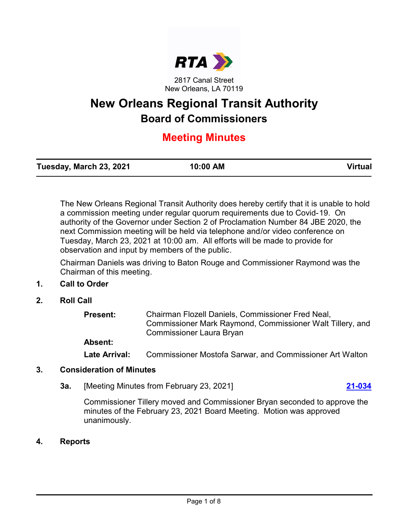

New Orleans, LA 70119

# **New Orleans Regional Transit Authority Board of Commissioners**

## **Meeting Minutes**

| Tuesday, March 23, 2021 | 10:00 AM | <b>Virtual</b> |
|-------------------------|----------|----------------|
|                         |          |                |

The New Orleans Regional Transit Authority does hereby certify that it is unable to hold a commission meeting under regular quorum requirements due to Covid-19. On authority of the Governor under Section 2 of Proclamation Number 84 JBE 2020, the next Commission meeting will be held via telephone and/or video conference on Tuesday, March 23, 2021 at 10:00 am. All efforts will be made to provide for observation and input by members of the public.

Chairman Daniels was driving to Baton Rouge and Commissioner Raymond was the Chairman of this meeting.

### **1. Call to Order**

**2. Roll Call**

| <b>Present:</b> | Chairman Flozell Daniels, Commissioner Fred Neal,<br>Commissioner Mark Raymond, Commissioner Walt Tillery, and<br><b>Commissioner Laura Bryan</b> |
|-----------------|---------------------------------------------------------------------------------------------------------------------------------------------------|
| Absent:         |                                                                                                                                                   |
| Late Arrival:   | <b>Commissioner Mostofa Sarwar, and Commissioner Art Walton</b>                                                                                   |

### **3. Consideration of Minutes**

**3a.** [Meeting Minutes from February 23, 2021] **[21-034](http://norta.legistar.com/gateway.aspx?m=l&id=/matter.aspx?key=1214)**

Commissioner Tillery moved and Commissioner Bryan seconded to approve the minutes of the February 23, 2021 Board Meeting. Motion was approved unanimously.

### **4. Reports**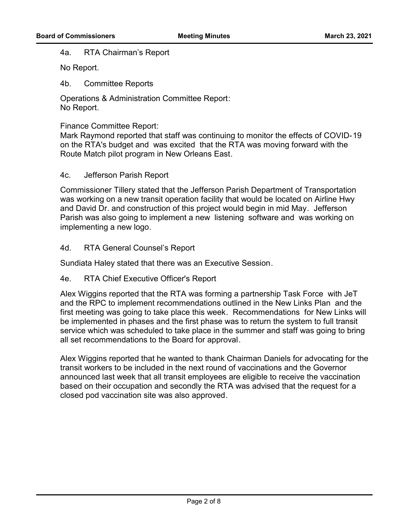#### 4a. RTA Chairman's Report

No Report.

4b. Committee Reports

Operations & Administration Committee Report: No Report.

#### Finance Committee Report:

Mark Raymond reported that staff was continuing to monitor the effects of COVID-19 on the RTA's budget and was excited that the RTA was moving forward with the Route Match pilot program in New Orleans East.

#### 4c. Jefferson Parish Report

Commissioner Tillery stated that the Jefferson Parish Department of Transportation was working on a new transit operation facility that would be located on Airline Hwy and David Dr. and construction of this project would begin in mid May. Jefferson Parish was also going to implement a new listening software and was working on implementing a new logo.

#### 4d. RTA General Counsel's Report

Sundiata Haley stated that there was an Executive Session.

### 4e. RTA Chief Executive Officer's Report

Alex Wiggins reported that the RTA was forming a partnership Task Force with JeT and the RPC to implement recommendations outlined in the New Links Plan and the first meeting was going to take place this week. Recommendations for New Links will be implemented in phases and the first phase was to return the system to full transit service which was scheduled to take place in the summer and staff was going to bring all set recommendations to the Board for approval.

Alex Wiggins reported that he wanted to thank Chairman Daniels for advocating for the transit workers to be included in the next round of vaccinations and the Governor announced last week that all transit employees are eligible to receive the vaccination based on their occupation and secondly the RTA was advised that the request for a closed pod vaccination site was also approved.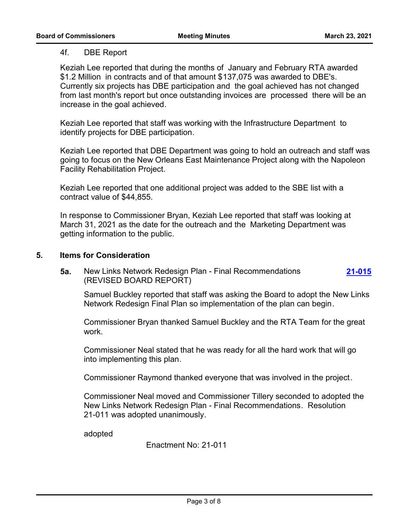#### 4f. DBE Report

Keziah Lee reported that during the months of January and February RTA awarded \$1.2 Million in contracts and of that amount \$137,075 was awarded to DBE's. Currently six projects has DBE participation and the goal achieved has not changed from last month's report but once outstanding invoices are processed there will be an increase in the goal achieved.

Keziah Lee reported that staff was working with the Infrastructure Department to identify projects for DBE participation.

Keziah Lee reported that DBE Department was going to hold an outreach and staff was going to focus on the New Orleans East Maintenance Project along with the Napoleon Facility Rehabilitation Project.

Keziah Lee reported that one additional project was added to the SBE list with a contract value of \$44,855.

In response to Commissioner Bryan, Keziah Lee reported that staff was looking at March 31, 2021 as the date for the outreach and the Marketing Department was getting information to the public.

#### **5. Items for Consideration**

**5a.** New Links Network Redesign Plan - Final Recommendations (REVISED BOARD REPORT) **[21-015](http://norta.legistar.com/gateway.aspx?m=l&id=/matter.aspx?key=1195)**

Samuel Buckley reported that staff was asking the Board to adopt the New Links Network Redesign Final Plan so implementation of the plan can begin.

Commissioner Bryan thanked Samuel Buckley and the RTA Team for the great work.

Commissioner Neal stated that he was ready for all the hard work that will go into implementing this plan.

Commissioner Raymond thanked everyone that was involved in the project.

Commissioner Neal moved and Commissioner Tillery seconded to adopted the New Links Network Redesign Plan - Final Recommendations. Resolution 21-011 was adopted unanimously.

adopted

Enactment No: 21-011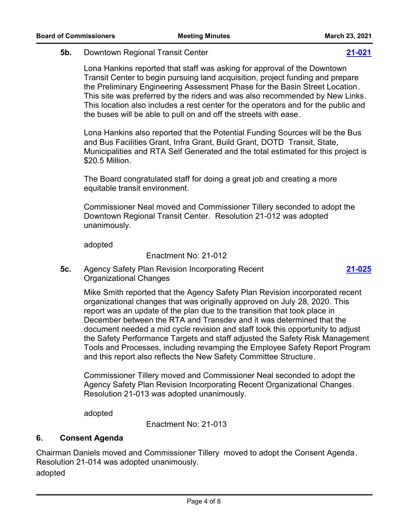#### **5b.** Downtown Regional Transit Center **[21-021](http://norta.legistar.com/gateway.aspx?m=l&id=/matter.aspx?key=1201)**

Lona Hankins reported that staff was asking for approval of the Downtown Transit Center to begin pursuing land acquisition, project funding and prepare the Preliminary Engineering Assessment Phase for the Basin Street Location. This site was preferred by the riders and was also recommended by New Links. This location also includes a rest center for the operators and for the public and the buses will be able to pull on and off the streets with ease.

Lona Hankins also reported that the Potential Funding Sources will be the Bus and Bus Facilities Grant, Infra Grant, Build Grant, DOTD Transit, State, Municipalities and RTA Self Generated and the total estimated for this project is \$20.5 Million.

The Board congratulated staff for doing a great job and creating a more equitable transit environment.

Commissioner Neal moved and Commissioner Tillery seconded to adopt the Downtown Regional Transit Center. Resolution 21-012 was adopted unanimously.

adopted

Enactment No: 21-012

**5c.** Agency Safety Plan Revision Incorporating Recent Organizational Changes

> Mike Smith reported that the Agency Safety Plan Revision incorporated recent organizational changes that was originally approved on July 28, 2020. This report was an update of the plan due to the transition that took place in December between the RTA and Transdev and it was determined that the document needed a mid cycle revision and staff took this opportunity to adjust the Safety Performance Targets and staff adjusted the Safety Risk Management Tools and Processes, including revamping the Employee Safety Report Program and this report also reflects the New Safety Committee Structure.

Commissioner Tillery moved and Commissioner Neal seconded to adopt the Agency Safety Plan Revision Incorporating Recent Organizational Changes. Resolution 21-013 was adopted unanimously.

adopted

Enactment No: 21-013

### **6. Consent Agenda**

Chairman Daniels moved and Commissioner Tillery moved to adopt the Consent Agenda. Resolution 21-014 was adopted unanimously. adopted

**[21-025](http://norta.legistar.com/gateway.aspx?m=l&id=/matter.aspx?key=1205)**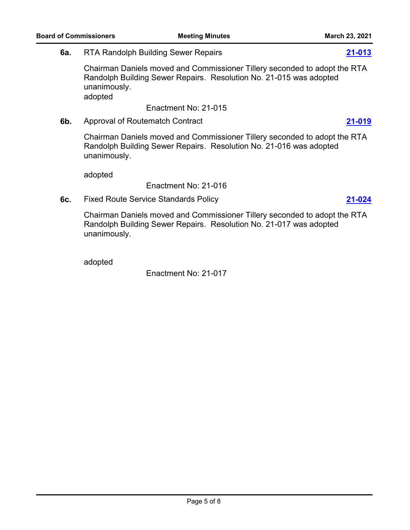**6a.** RTA Randolph Building Sewer Repairs **[21-013](http://norta.legistar.com/gateway.aspx?m=l&id=/matter.aspx?key=1193)**

Chairman Daniels moved and Commissioner Tillery seconded to adopt the RTA Randolph Building Sewer Repairs. Resolution No. 21-015 was adopted unanimously. adopted

Enactment No: 21-015

**6b.** Approval of Routematch Contract **[21-019](http://norta.legistar.com/gateway.aspx?m=l&id=/matter.aspx?key=1199)**

Chairman Daniels moved and Commissioner Tillery seconded to adopt the RTA Randolph Building Sewer Repairs. Resolution No. 21-016 was adopted unanimously.

adopted

Enactment No: 21-016

**6c.** Fixed Route Service Standards Policy **[21-024](http://norta.legistar.com/gateway.aspx?m=l&id=/matter.aspx?key=1204)**

Chairman Daniels moved and Commissioner Tillery seconded to adopt the RTA Randolph Building Sewer Repairs. Resolution No. 21-017 was adopted unanimously.

adopted

Enactment No: 21-017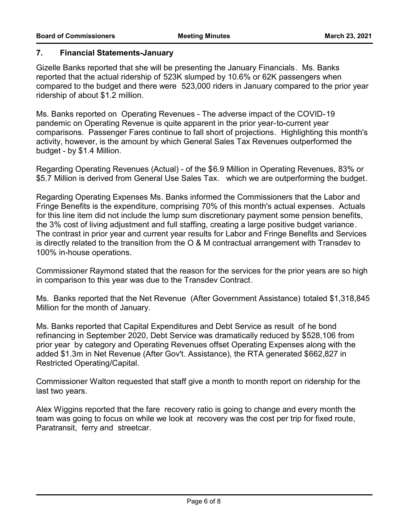#### **7. Financial Statements-January**

Gizelle Banks reported that she will be presenting the January Financials. Ms. Banks reported that the actual ridership of 523K slumped by 10.6% or 62K passengers when compared to the budget and there were 523,000 riders in January compared to the prior year ridership of about \$1.2 million.

Ms. Banks reported on Operating Revenues - The adverse impact of the COVID-19 pandemic on Operating Revenue is quite apparent in the prior year-to-current year comparisons. Passenger Fares continue to fall short of projections. Highlighting this month's activity, however, is the amount by which General Sales Tax Revenues outperformed the budget - by \$1.4 Million.

Regarding Operating Revenues (Actual) - of the \$6.9 Million in Operating Revenues, 83% or \$5.7 Million is derived from General Use Sales Tax. which we are outperforming the budget.

Regarding Operating Expenses Ms. Banks informed the Commissioners that the Labor and Fringe Benefits is the expenditure, comprising 70% of this month's actual expenses. Actuals for this line item did not include the lump sum discretionary payment some pension benefits, the 3% cost of living adjustment and full staffing, creating a large positive budget variance. The contrast in prior year and current year results for Labor and Fringe Benefits and Services is directly related to the transition from the O & M contractual arrangement with Transdev to 100% in-house operations.

Commissioner Raymond stated that the reason for the services for the prior years are so high in comparison to this year was due to the Transdev Contract.

Ms. Banks reported that the Net Revenue (After Government Assistance) totaled \$1,318,845 Million for the month of January.

Ms. Banks reported that Capital Expenditures and Debt Service as result of he bond refinancing in September 2020, Debt Service was dramatically reduced by \$528,106 from prior year by category and Operating Revenues offset Operating Expenses along with the added \$1.3m in Net Revenue (After Gov't. Assistance), the RTA generated \$662,827 in Restricted Operating/Capital.

Commissioner Walton requested that staff give a month to month report on ridership for the last two years.

Alex Wiggins reported that the fare recovery ratio is going to change and every month the team was going to focus on while we look at recovery was the cost per trip for fixed route, Paratransit, ferry and streetcar.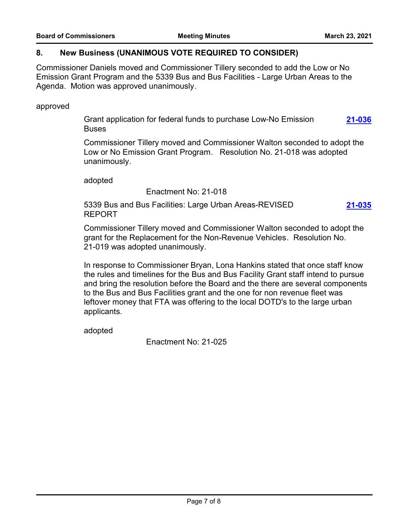#### **8. New Business (UNANIMOUS VOTE REQUIRED TO CONSIDER)**

Commissioner Daniels moved and Commissioner Tillery seconded to add the Low or No Emission Grant Program and the 5339 Bus and Bus Facilities - Large Urban Areas to the Agenda. Motion was approved unanimously.

approved

Grant application for federal funds to purchase Low-No Emission **Buses [21-036](http://norta.legistar.com/gateway.aspx?m=l&id=/matter.aspx?key=1216)**

Commissioner Tillery moved and Commissioner Walton seconded to adopt the Low or No Emission Grant Program. Resolution No. 21-018 was adopted unanimously.

adopted

Enactment No: 21-018

5339 Bus and Bus Facilities: Large Urban Areas-REVISED REPORT **[21-035](http://norta.legistar.com/gateway.aspx?m=l&id=/matter.aspx?key=1215)**

Commissioner Tillery moved and Commissioner Walton seconded to adopt the grant for the Replacement for the Non-Revenue Vehicles. Resolution No. 21-019 was adopted unanimously.

In response to Commissioner Bryan, Lona Hankins stated that once staff know the rules and timelines for the Bus and Bus Facility Grant staff intend to pursue and bring the resolution before the Board and the there are several components to the Bus and Bus Facilities grant and the one for non revenue fleet was leftover money that FTA was offering to the local DOTD's to the large urban applicants.

adopted

Enactment No: 21-025